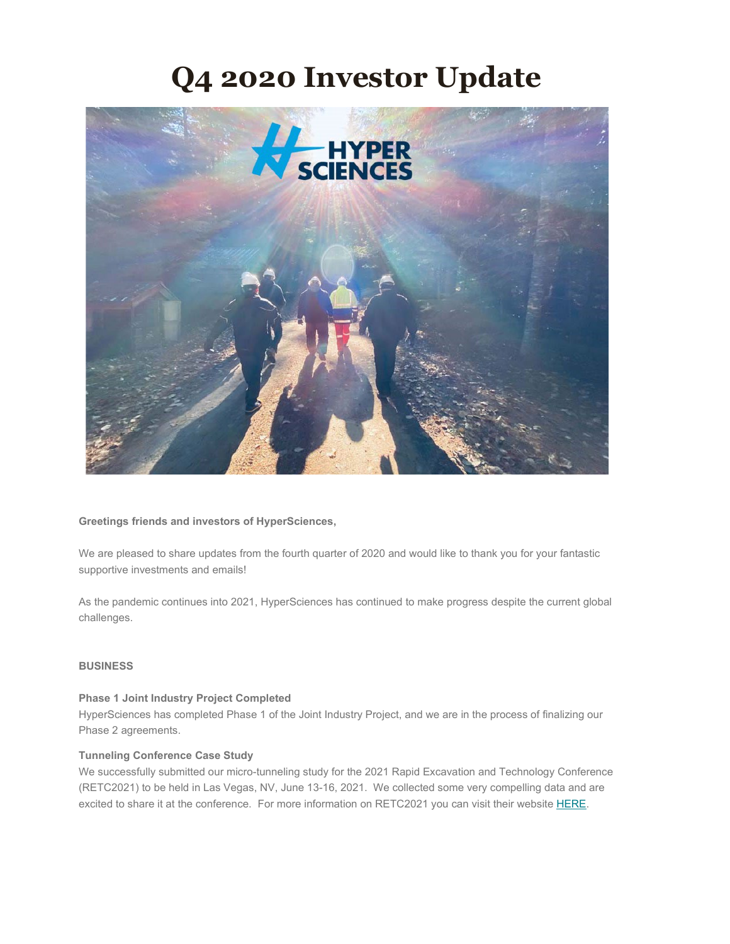# **Q4 2020 Investor Update**



## **Greetings friends and investors of HyperSciences,**

We are pleased to share updates from the fourth quarter of 2020 and would like to thank you for your fantastic supportive investments and emails!

As the pandemic continues into 2021, HyperSciences has continued to make progress despite the current global challenges.

## **BUSINESS**

## **Phase 1 Joint Industry Project Completed**

HyperSciences has completed Phase 1 of the Joint Industry Project, and we are in the process of finalizing our Phase 2 agreements.

# **Tunneling Conference Case Study**

We successfully submitted our micro-tunneling study for the 2021 Rapid Excavation and Technology Conference (RETC2021) to be held in Las Vegas, NV, June 13-16, 2021. We collected some very compelling data and are excited to share it at the conference. For more information on RETC2021 you can visit their website [HERE.](http://retc.org/)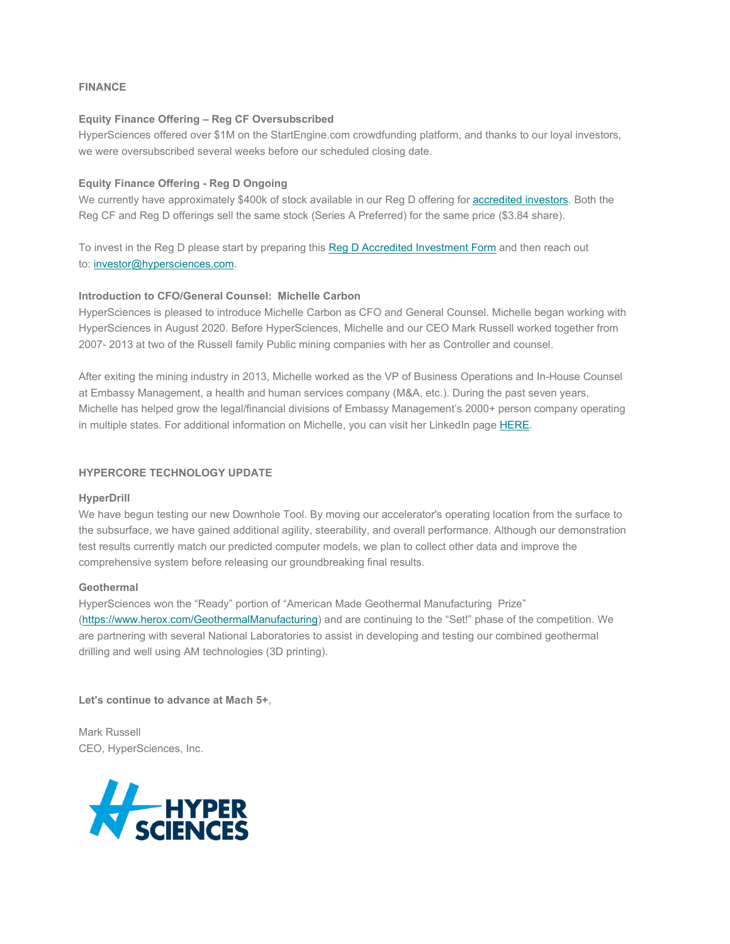# **FINANCE**

## **Equity Finance Offering – Reg CF Oversubscribed**

HyperSciences offered over \$1M on the StartEngine.com crowdfunding platform, and thanks to our loyal investors, we were oversubscribed several weeks before our scheduled closing date.

# **Equity Finance Offering - Reg D Ongoing**

We currently have approximately \$400k of stock available in our Reg D offering for [accredited investors.](https://www.sec.gov/news/press-release/2020-191) Both the Reg CF and Reg D offerings sell the same stock (Series A Preferred) for the same price (\$3.84 share).

To invest in the Reg D please start by preparing this [Reg D Accredited Investment Form](https://www.hypersciences.com/invest/) and then reach out to: [investor@hypersciences.com.](mailto:investor@hypersciences.com)

# **Introduction to CFO/General Counsel: Michelle Carbon**

HyperSciences is pleased to introduce Michelle Carbon as CFO and General Counsel. Michelle began working with HyperSciences in August 2020. Before HyperSciences, Michelle and our CEO Mark Russell worked together from 2007- 2013 at two of the Russell family Public mining companies with her as Controller and counsel.

After exiting the mining industry in 2013, Michelle worked as the VP of Business Operations and In-House Counsel at Embassy Management, a health and human services company (M&A, etc.). During the past seven years, Michelle has helped grow the legal/financial divisions of Embassy Management's 2000+ person company operating in multiple states. For additional information on Michelle, you can visit her LinkedIn page [HERE.](https://www.linkedin.com/in/michelle-carbon-9297158/)

# **HYPERCORE TECHNOLOGY UPDATE**

## **HyperDrill**

We have begun testing our new Downhole Tool. By moving our accelerator's operating location from the surface to the subsurface, we have gained additional agility, steerability, and overall performance. Although our demonstration test results currently match our predicted computer models, we plan to collect other data and improve the comprehensive system before releasing our groundbreaking final results.

## **Geothermal**

HyperSciences won the "Ready" portion of "American Made Geothermal Manufacturing Prize" [\(https://www.herox.com/GeothermalManufacturing\)](https://www.herox.com/GeothermalManufacturing) and are continuing to the "Set!" phase of the competition. We are partnering with several National Laboratories to assist in developing and testing our combined geothermal drilling and well using AM technologies (3D printing).

**Let's continue to advance at Mach 5+**,

Mark Russell CEO, HyperSciences, Inc.